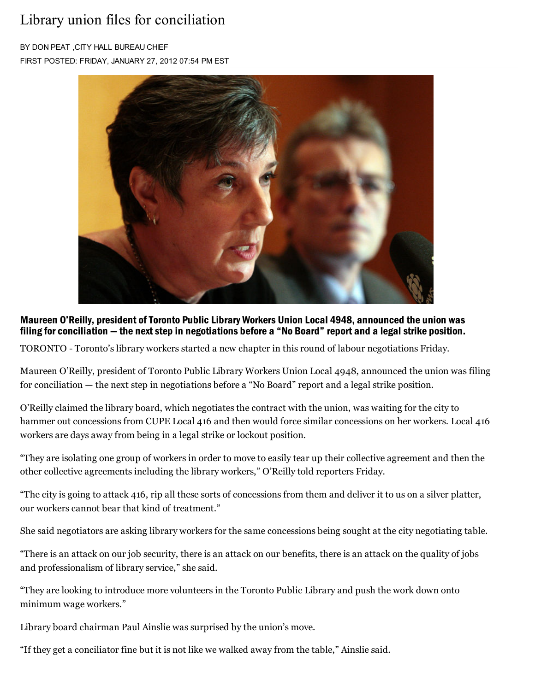## Library union files for conciliation

B< DON PEAT ,CIT< HALL BUREAU CHIEF FIRST POSTED: FRIDAY, JANUARY 27, 2012 07:54 PM EST



Maureen O'Reilly, president of Toronto Public Library Workers Union Local 4948, announced the union was filing for conciliation  $-$  the next step in negotiations before a "No Board" report and a legal strike position.

TORONTO - Toronto's library workers started a new chapter in this round of labour negotiations Friday.

Maureen O'Reilly, president of Toronto Public Library Workers Union Local 4948, announced the union was filing for conciliation — the next step in negotiations before a "No Board" report and a legal strike position.

O¶Reilly claimed the library board, which negotiates the contract with the union, was waiting for the city to hammer out concessions from CUPE Local 416 and then would force similar concessions on her workers. Local 416 workers are days away from being in a legal strike or lockout position.

"They are isolating one group of workers in order to move to easily tear up their collective agreement and then the other collective agreements including the library workers," O'Reilly told reporters Friday.

"The city is going to attack 416, rip all these sorts of concessions from them and deliver it to us on a silver platter, our workers cannot bear that kind of treatment."

She said negotiators are asking library workers for the same concessions being sought at the city negotiating table.

"There is an attack on our job security, there is an attack on our benefits, there is an attack on the quality of jobs and professionalism of library service," she said.

"They are looking to introduce more volunteers in the Toronto Public Library and push the work down onto minimum wage workers."

Library board chairman Paul Ainslie was surprised by the union's move.

"If they get a conciliator fine but it is not like we walked away from the table," Ainslie said.